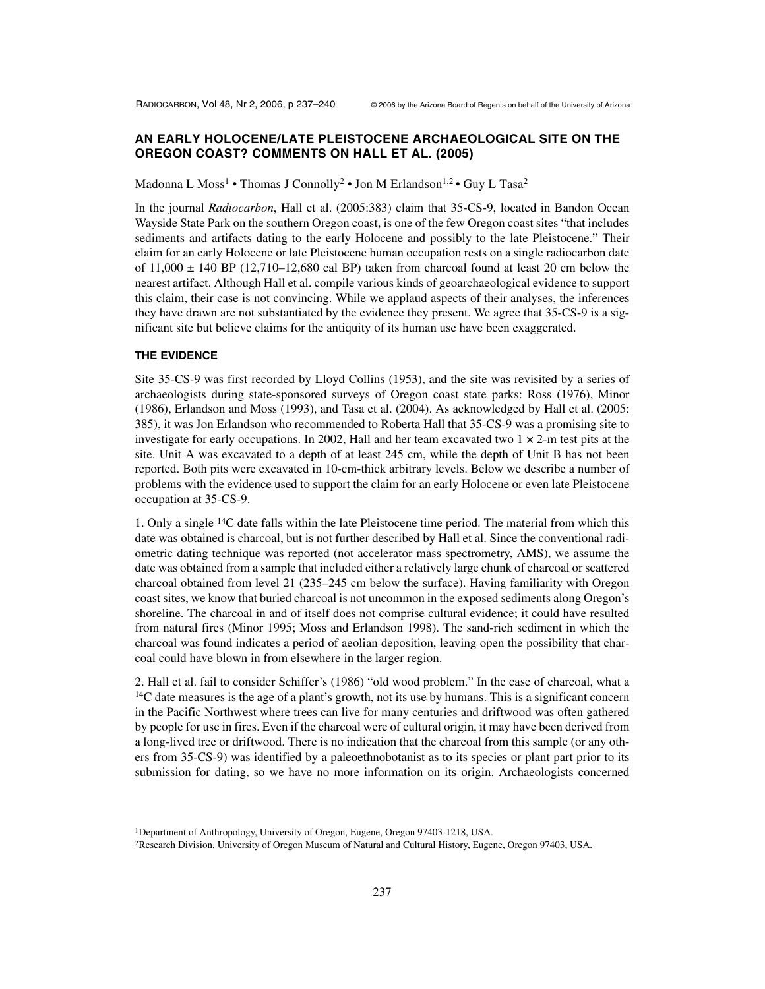# **AN EARLY HOLOCENE/LATE PLEISTOCENE ARCHAEOLOGICAL SITE ON THE OREGON COAST? COMMENTS ON HALL ET AL. (2005)**

Madonna L Moss<sup>1</sup> • Thomas J Connolly<sup>2</sup> • Jon M Erlandson<sup>1,2</sup> • Guy L Tasa<sup>2</sup>

In the journal *Radiocarbon*, Hall et al. (2005:383) claim that 35-CS-9, located in Bandon Ocean Wayside State Park on the southern Oregon coast, is one of the few Oregon coast sites "that includes sediments and artifacts dating to the early Holocene and possibly to the late Pleistocene." Their claim for an early Holocene or late Pleistocene human occupation rests on a single radiocarbon date of  $11,000 \pm 140$  BP (12,710–12,680 cal BP) taken from charcoal found at least 20 cm below the nearest artifact. Although Hall et al. compile various kinds of geoarchaeological evidence to support this claim, their case is not convincing. While we applaud aspects of their analyses, the inferences they have drawn are not substantiated by the evidence they present. We agree that 35-CS-9 is a significant site but believe claims for the antiquity of its human use have been exaggerated.

### **THE EVIDENCE**

Site 35-CS-9 was first recorded by Lloyd Collins (1953), and the site was revisited by a series of archaeologists during state-sponsored surveys of Oregon coast state parks: Ross (1976), Minor (1986), Erlandson and Moss (1993), and Tasa et al. (2004). As acknowledged by Hall et al. (2005: 385), it was Jon Erlandson who recommended to Roberta Hall that 35-CS-9 was a promising site to investigate for early occupations. In 2002, Hall and her team excavated two  $1 \times 2$ -m test pits at the site. Unit A was excavated to a depth of at least 245 cm, while the depth of Unit B has not been reported. Both pits were excavated in 10-cm-thick arbitrary levels. Below we describe a number of problems with the evidence used to support the claim for an early Holocene or even late Pleistocene occupation at 35-CS-9.

1. Only a single 14C date falls within the late Pleistocene time period. The material from which this date was obtained is charcoal, but is not further described by Hall et al. Since the conventional radiometric dating technique was reported (not accelerator mass spectrometry, AMS), we assume the date was obtained from a sample that included either a relatively large chunk of charcoal or scattered charcoal obtained from level 21 (235–245 cm below the surface). Having familiarity with Oregon coast sites, we know that buried charcoal is not uncommon in the exposed sediments along Oregon's shoreline. The charcoal in and of itself does not comprise cultural evidence; it could have resulted from natural fires (Minor 1995; Moss and Erlandson 1998). The sand-rich sediment in which the charcoal was found indicates a period of aeolian deposition, leaving open the possibility that charcoal could have blown in from elsewhere in the larger region.

2. Hall et al. fail to consider Schiffer's (1986) "old wood problem." In the case of charcoal, what a  $<sup>14</sup>C$  date measures is the age of a plant's growth, not its use by humans. This is a significant concern</sup> in the Pacific Northwest where trees can live for many centuries and driftwood was often gathered by people for use in fires. Even if the charcoal were of cultural origin, it may have been derived from a long-lived tree or driftwood. There is no indication that the charcoal from this sample (or any others from 35-CS-9) was identified by a paleoethnobotanist as to its species or plant part prior to its submission for dating, so we have no more information on its origin. Archaeologists concerned

<sup>2</sup>Research Division, University of Oregon Museum of Natural and Cultural History, Eugene, Oregon 97403, USA.

<sup>&</sup>lt;sup>1</sup>Department of Anthropology, University of Oregon, Eugene, Oregon 97403-1218, USA.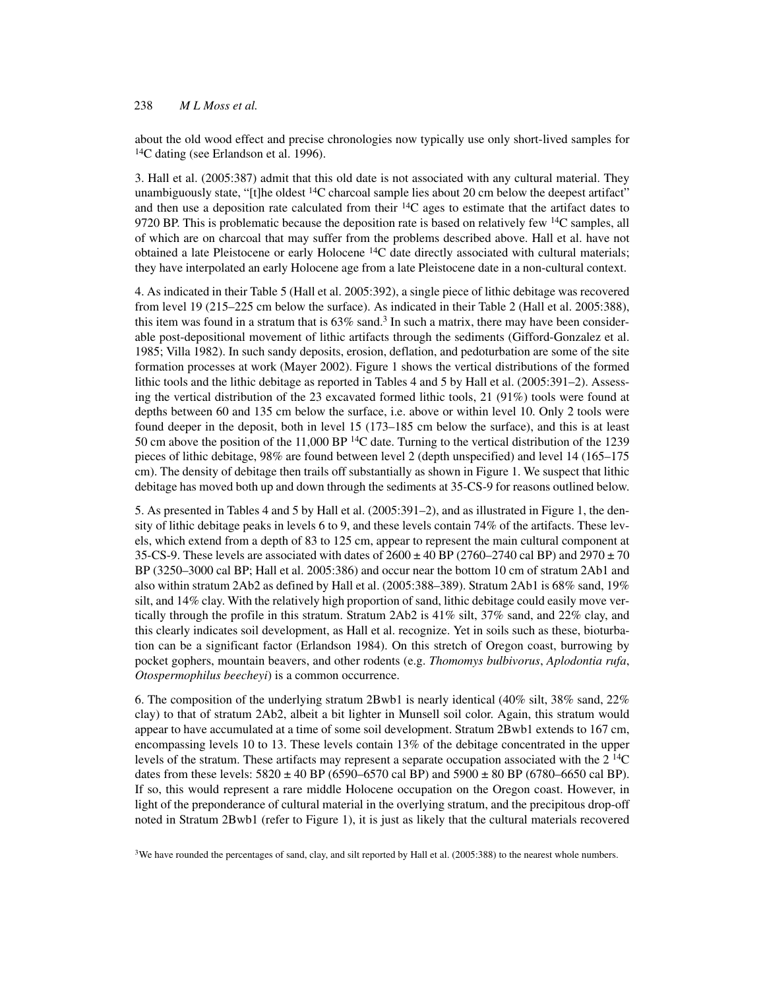# 238 *M L Moss et al.*

about the old wood effect and precise chronologies now typically use only short-lived samples for <sup>14</sup>C dating (see Erlandson et al. 1996).

3. Hall et al. (2005:387) admit that this old date is not associated with any cultural material. They unambiguously state, "[t]he oldest  ${}^{14}C$  charcoal sample lies about 20 cm below the deepest artifact" and then use a deposition rate calculated from their  $^{14}C$  ages to estimate that the artifact dates to 9720 BP. This is problematic because the deposition rate is based on relatively few  $14C$  samples, all of which are on charcoal that may suffer from the problems described above. Hall et al. have not obtained a late Pleistocene or early Holocene 14C date directly associated with cultural materials; they have interpolated an early Holocene age from a late Pleistocene date in a non-cultural context.

4. As indicated in their Table 5 (Hall et al. 2005:392), a single piece of lithic debitage was recovered from level 19 (215–225 cm below the surface). As indicated in their Table 2 (Hall et al. 2005:388), this item was found in a stratum that is  $63\%$  sand.<sup>3</sup> In such a matrix, there may have been considerable post-depositional movement of lithic artifacts through the sediments (Gifford-Gonzalez et al. 1985; Villa 1982). In such sandy deposits, erosion, deflation, and pedoturbation are some of the site formation processes at work (Mayer 2002). Figure 1 shows the vertical distributions of the formed lithic tools and the lithic debitage as reported in Tables 4 and 5 by Hall et al. (2005:391–2). Assessing the vertical distribution of the 23 excavated formed lithic tools, 21 (91%) tools were found at depths between 60 and 135 cm below the surface, i.e. above or within level 10. Only 2 tools were found deeper in the deposit, both in level 15 (173–185 cm below the surface), and this is at least 50 cm above the position of the 11,000 BP  $^{14}C$  date. Turning to the vertical distribution of the 1239 pieces of lithic debitage, 98% are found between level 2 (depth unspecified) and level 14 (165–175 cm). The density of debitage then trails off substantially as shown in Figure 1. We suspect that lithic debitage has moved both up and down through the sediments at 35-CS-9 for reasons outlined below.

5. As presented in Tables 4 and 5 by Hall et al. (2005:391–2), and as illustrated in Figure 1, the density of lithic debitage peaks in levels 6 to 9, and these levels contain 74% of the artifacts. These levels, which extend from a depth of 83 to 125 cm, appear to represent the main cultural component at 35-CS-9. These levels are associated with dates of  $2600 \pm 40$  BP (2760–2740 cal BP) and 2970  $\pm$  70 BP (3250–3000 cal BP; Hall et al. 2005:386) and occur near the bottom 10 cm of stratum 2Ab1 and also within stratum 2Ab2 as defined by Hall et al. (2005:388–389). Stratum 2Ab1 is 68% sand, 19% silt, and 14% clay. With the relatively high proportion of sand, lithic debitage could easily move vertically through the profile in this stratum. Stratum 2Ab2 is 41% silt, 37% sand, and 22% clay, and this clearly indicates soil development, as Hall et al. recognize. Yet in soils such as these, bioturbation can be a significant factor (Erlandson 1984). On this stretch of Oregon coast, burrowing by pocket gophers, mountain beavers, and other rodents (e.g. *Thomomys bulbivorus*, *Aplodontia rufa*, *Otospermophilus beecheyi*) is a common occurrence.

6. The composition of the underlying stratum 2Bwb1 is nearly identical (40% silt, 38% sand, 22% clay) to that of stratum 2Ab2, albeit a bit lighter in Munsell soil color. Again, this stratum would appear to have accumulated at a time of some soil development. Stratum 2Bwb1 extends to 167 cm, encompassing levels 10 to 13. These levels contain 13% of the debitage concentrated in the upper levels of the stratum. These artifacts may represent a separate occupation associated with the 2 14C dates from these levels:  $5820 \pm 40$  BP (6590–6570 cal BP) and  $5900 \pm 80$  BP (6780–6650 cal BP). If so, this would represent a rare middle Holocene occupation on the Oregon coast. However, in light of the preponderance of cultural material in the overlying stratum, and the precipitous drop-off noted in Stratum 2Bwb1 (refer to Figure 1), it is just as likely that the cultural materials recovered

 $3$ We have rounded the percentages of sand, clay, and silt reported by Hall et al. (2005:388) to the nearest whole numbers.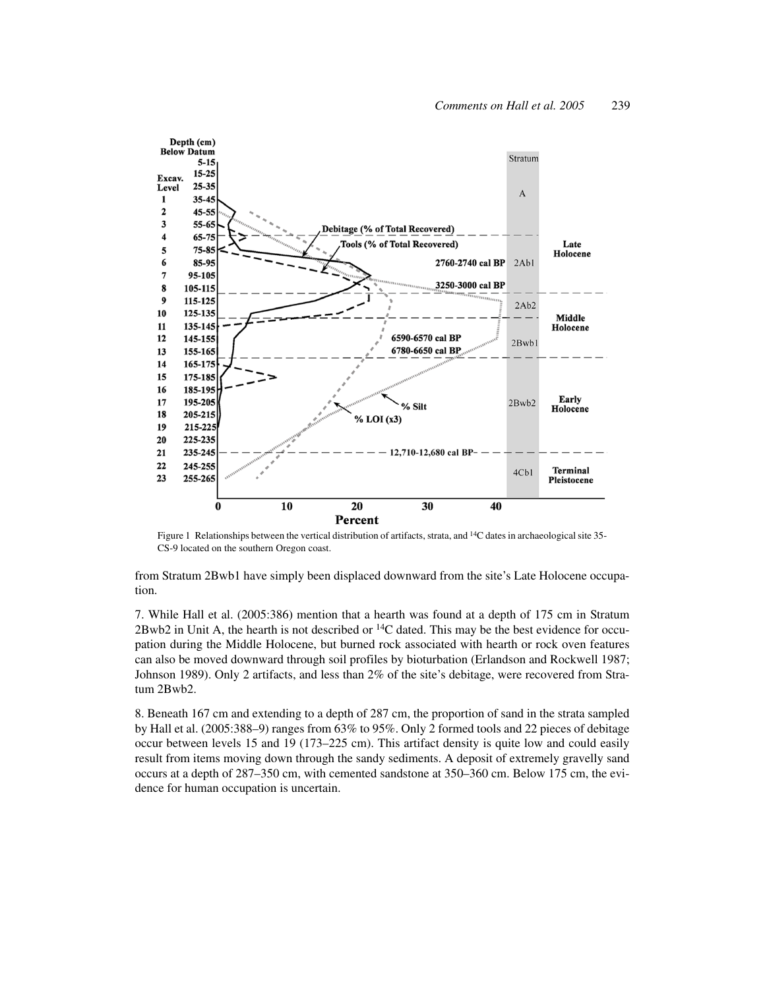

Figure 1 Relationships between the vertical distribution of artifacts, strata, and <sup>14</sup>C dates in archaeological site 35-CS-9 located on the southern Oregon coast.

from Stratum 2Bwb1 have simply been displaced downward from the site's Late Holocene occupation.

7. While Hall et al. (2005:386) mention that a hearth was found at a depth of 175 cm in Stratum  $2Bwb2$  in Unit A, the hearth is not described or  $^{14}C$  dated. This may be the best evidence for occupation during the Middle Holocene, but burned rock associated with hearth or rock oven features can also be moved downward through soil profiles by bioturbation (Erlandson and Rockwell 1987; Johnson 1989). Only 2 artifacts, and less than 2% of the site's debitage, were recovered from Stratum 2Bwb2.

8. Beneath 167 cm and extending to a depth of 287 cm, the proportion of sand in the strata sampled by Hall et al. (2005:388–9) ranges from 63% to 95%. Only 2 formed tools and 22 pieces of debitage occur between levels 15 and 19 (173–225 cm). This artifact density is quite low and could easily result from items moving down through the sandy sediments. A deposit of extremely gravelly sand occurs at a depth of 287–350 cm, with cemented sandstone at 350–360 cm. Below 175 cm, the evidence for human occupation is uncertain.